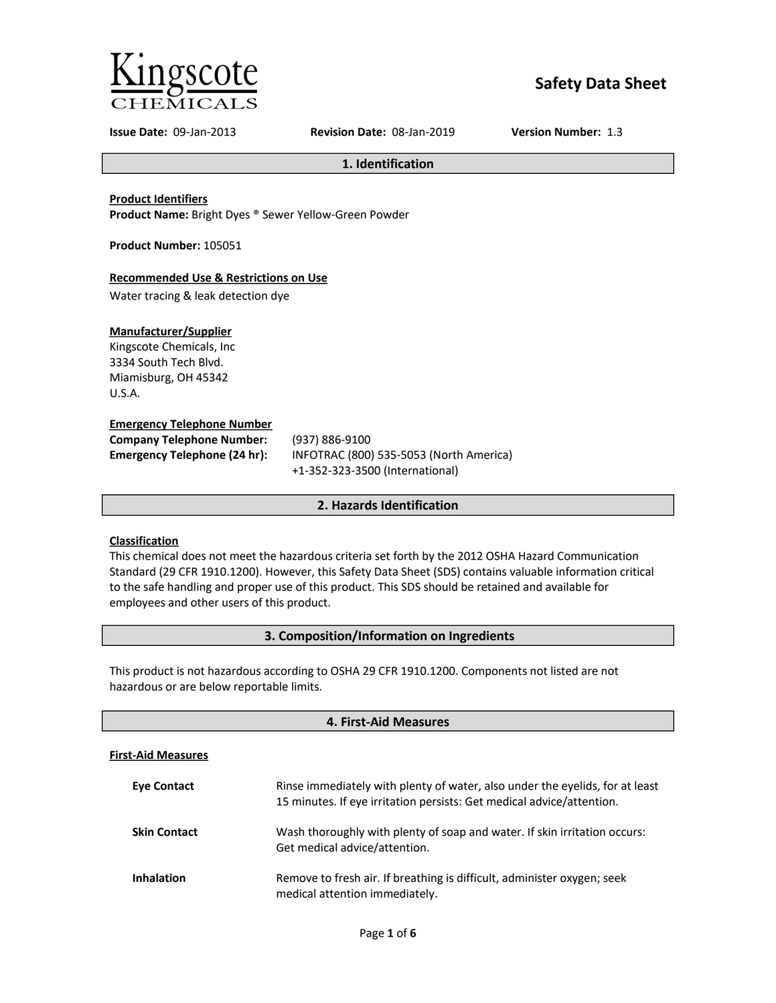

# **Safety Data Sheet**

**Issue Date:** 09-Jan-2013 **Revision Date:** 08-Jan-2019 **Version Number:** 1.3

#### **1. Identification**

#### **Product Identifiers**

**Product Name:** Bright Dyes ® Sewer Yellow-Green Powder

**Product Number:** 105051

# **Recommended Use & Restrictions on Use**

Water tracing & leak detection dye

# **Manufacturer/Supplier**

Kingscote Chemicals, Inc 3334 South Tech Blvd. Miamisburg, OH 45342 U.S.A.

#### **Emergency Telephone Number**

| <b>Company Telephone Number:</b>    | (937)       |
|-------------------------------------|-------------|
| <b>Emergency Telephone (24 hr):</b> | <b>INFC</b> |
|                                     |             |

**Company Telephone Number:** (937) 886-9100 **Emergency Telephone (24 hr):** INFOTRAC (800) 535-5053 (North America) +1-352-323-3500 (International)

# **2. Hazards Identification**

# **Classification**

This chemical does not meet the hazardous criteria set forth by the 2012 OSHA Hazard Communication Standard (29 CFR 1910.1200). However, this Safety Data Sheet (SDS) contains valuable information critical to the safe handling and proper use of this product. This SDS should be retained and available for employees and other users of this product.

# **3. Composition/Information on Ingredients**

This product is not hazardous according to OSHA 29 CFR 1910.1200. Components not listed are not hazardous or are below reportable limits.

| 4. First-Aid Measures     |                                                                                                                                                       |
|---------------------------|-------------------------------------------------------------------------------------------------------------------------------------------------------|
| <b>First-Aid Measures</b> |                                                                                                                                                       |
| <b>Eve Contact</b>        | Rinse immediately with plenty of water, also under the eyelids, for at least<br>15 minutes. If eye irritation persists: Get medical advice/attention. |
| <b>Skin Contact</b>       | Wash thoroughly with plenty of soap and water. If skin irritation occurs:<br>Get medical advice/attention.                                            |
| <b>Inhalation</b>         | Remove to fresh air. If breathing is difficult, administer oxygen; seek<br>medical attention immediately.                                             |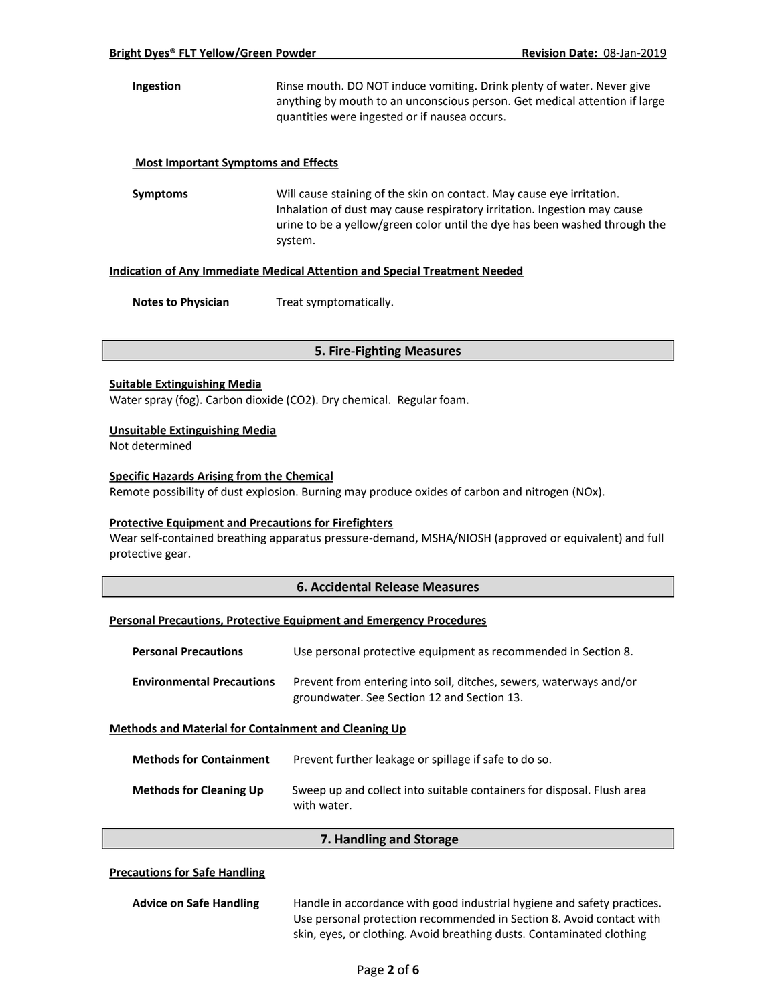**Ingestion** Rinse mouth. DO NOT induce vomiting. Drink plenty of water. Never give anything by mouth to an unconscious person. Get medical attention if large quantities were ingested or if nausea occurs.

#### **Most Important Symptoms and Effects**

**Symptoms** Will cause staining of the skin on contact. May cause eye irritation. Inhalation of dust may cause respiratory irritation. Ingestion may cause urine to be a yellow/green color until the dye has been washed through the system.

# **Indication of Any Immediate Medical Attention and Special Treatment Needed**

**Notes to Physician** Treat symptomatically.

#### **5. Fire-Fighting Measures**

#### **Suitable Extinguishing Media**

Water spray (fog). Carbon dioxide (CO2). Dry chemical. Regular foam.

#### **Unsuitable Extinguishing Media**

Not determined

#### **Specific Hazards Arising from the Chemical**

Remote possibility of dust explosion. Burning may produce oxides of carbon and nitrogen (NOx).

# **Protective Equipment and Precautions for Firefighters**

Wear self-contained breathing apparatus pressure-demand, MSHA/NIOSH (approved or equivalent) and full protective gear.

#### **6. Accidental Release Measures**

#### **Personal Precautions, Protective Equipment and Emergency Procedures**

| <b>Personal Precautions</b>      | Use personal protective equipment as recommended in Section 8.                                                    |
|----------------------------------|-------------------------------------------------------------------------------------------------------------------|
| <b>Environmental Precautions</b> | Prevent from entering into soil, ditches, sewers, waterways and/or<br>groundwater. See Section 12 and Section 13. |

#### **Methods and Material for Containment and Cleaning Up**

| <b>Methods for Containment</b> | Prevent further leakage or spillage if safe to do so.                                 |
|--------------------------------|---------------------------------------------------------------------------------------|
| <b>Methods for Cleaning Up</b> | Sweep up and collect into suitable containers for disposal. Flush area<br>with water. |

#### **7. Handling and Storage**

#### **Precautions for Safe Handling**

| <b>Advice on Safe Handling</b> | Handle in accordance with good industrial hygiene and safety practices. |
|--------------------------------|-------------------------------------------------------------------------|
|                                | Use personal protection recommended in Section 8. Avoid contact with    |
|                                | skin, eyes, or clothing. Avoid breathing dusts. Contaminated clothing   |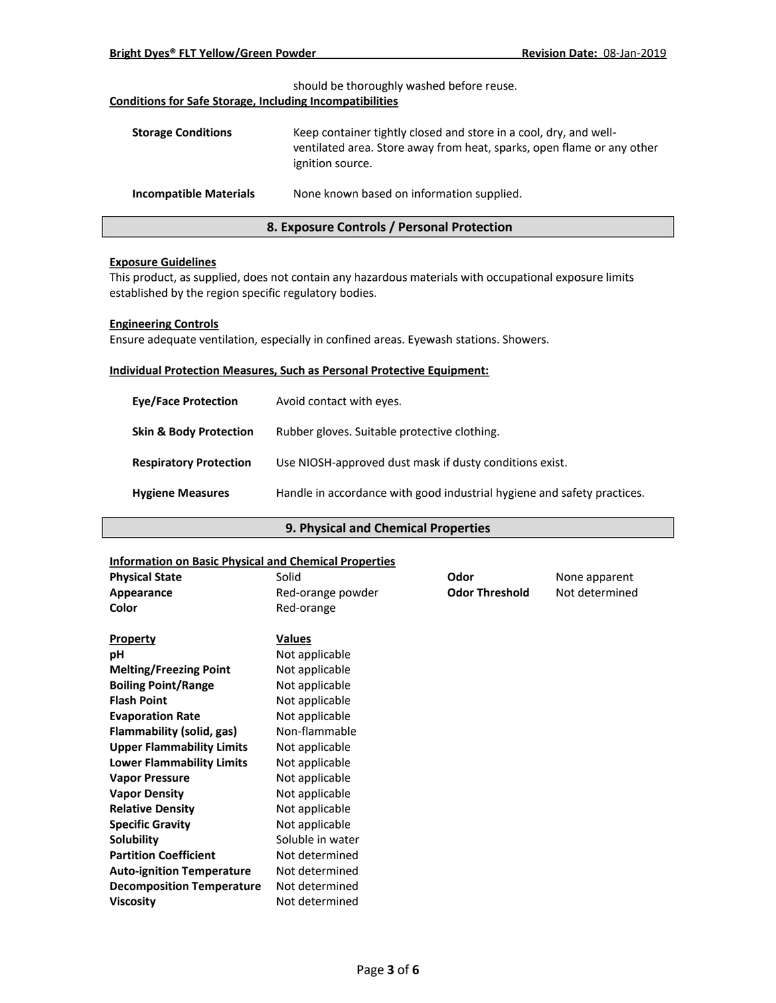| 8. Exposure Controls / Personal Protection                                                                                                                      |  |  |
|-----------------------------------------------------------------------------------------------------------------------------------------------------------------|--|--|
| None known based on information supplied.                                                                                                                       |  |  |
| Keep container tightly closed and store in a cool, dry, and well-<br>ventilated area. Store away from heat, sparks, open flame or any other<br>ignition source. |  |  |
| should be thoroughly washed before reuse.<br><b>Conditions for Safe Storage, Including Incompatibilities</b>                                                    |  |  |
|                                                                                                                                                                 |  |  |

# **Exposure Guidelines**

This product, as supplied, does not contain any hazardous materials with occupational exposure limits established by the region specific regulatory bodies.

#### **Engineering Controls**

Ensure adequate ventilation, especially in confined areas. Eyewash stations. Showers.

#### **Individual Protection Measures, Such as Personal Protective Equipment:**

| <b>Eve/Face Protection</b>        | Avoid contact with eyes.                                                |
|-----------------------------------|-------------------------------------------------------------------------|
| <b>Skin &amp; Body Protection</b> | Rubber gloves. Suitable protective clothing.                            |
| <b>Respiratory Protection</b>     | Use NIOSH-approved dust mask if dusty conditions exist.                 |
| <b>Hygiene Measures</b>           | Handle in accordance with good industrial hygiene and safety practices. |

# **9. Physical and Chemical Properties**

## **Information on Basic Physical and Chemical Properties**

| <b>Physical State</b>            | Solid             | Odor                  | None apparent  |  |
|----------------------------------|-------------------|-----------------------|----------------|--|
| Appearance                       | Red-orange powder | <b>Odor Threshold</b> | Not determined |  |
| Color                            | Red-orange        |                       |                |  |
| <b>Property</b>                  | <b>Values</b>     |                       |                |  |
| рH                               | Not applicable    |                       |                |  |
| <b>Melting/Freezing Point</b>    | Not applicable    |                       |                |  |
| <b>Boiling Point/Range</b>       | Not applicable    |                       |                |  |
| <b>Flash Point</b>               | Not applicable    |                       |                |  |
| <b>Evaporation Rate</b>          | Not applicable    |                       |                |  |
| Flammability (solid, gas)        | Non-flammable     |                       |                |  |
| <b>Upper Flammability Limits</b> | Not applicable    |                       |                |  |
| <b>Lower Flammability Limits</b> | Not applicable    |                       |                |  |
| <b>Vapor Pressure</b>            | Not applicable    |                       |                |  |
| <b>Vapor Density</b>             | Not applicable    |                       |                |  |
| <b>Relative Density</b>          | Not applicable    |                       |                |  |
| <b>Specific Gravity</b>          | Not applicable    |                       |                |  |
| Solubility                       | Soluble in water  |                       |                |  |
| <b>Partition Coefficient</b>     | Not determined    |                       |                |  |
| <b>Auto-ignition Temperature</b> | Not determined    |                       |                |  |
| <b>Decomposition Temperature</b> | Not determined    |                       |                |  |
| <b>Viscosity</b>                 | Not determined    |                       |                |  |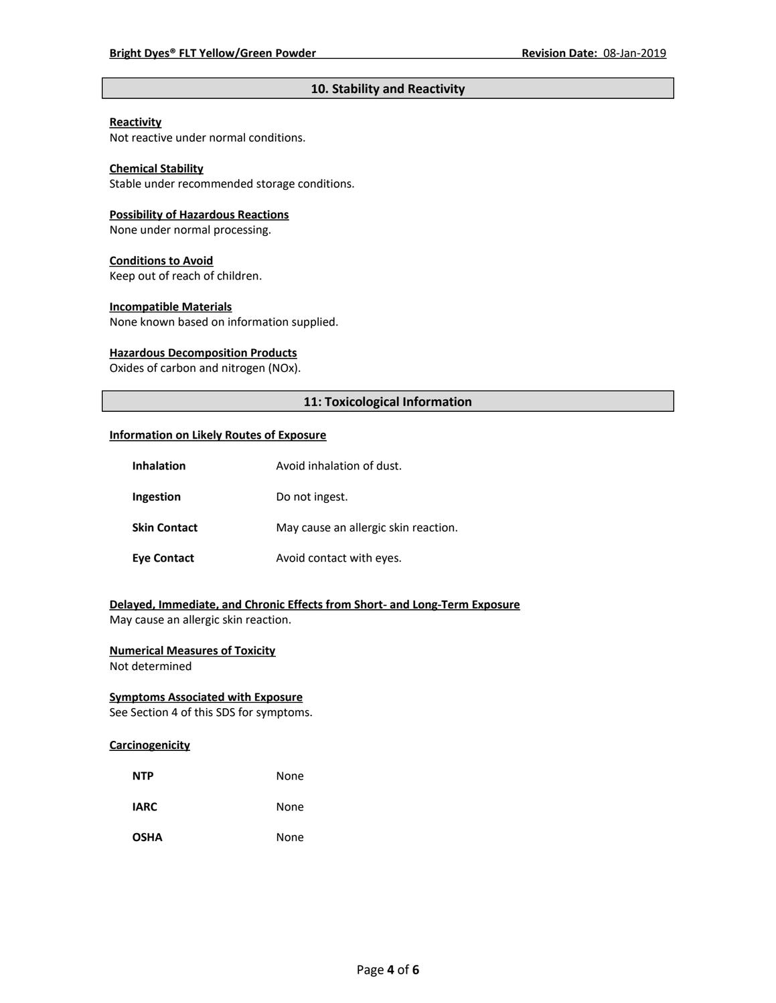# **10. Stability and Reactivity**

# **Reactivity**

Not reactive under normal conditions.

# **Chemical Stability**

Stable under recommended storage conditions.

#### **Possibility of Hazardous Reactions**

None under normal processing.

#### **Conditions to Avoid**

Keep out of reach of children.

#### **Incompatible Materials**

None known based on information supplied.

### **Hazardous Decomposition Products**

Oxides of carbon and nitrogen (NOx).

# **11: Toxicological Information**

#### **Information on Likely Routes of Exposure**

| <b>Inhalation</b>   | Avoid inhalation of dust.            |
|---------------------|--------------------------------------|
| Ingestion           | Do not ingest.                       |
| <b>Skin Contact</b> | May cause an allergic skin reaction. |
| <b>Eye Contact</b>  | Avoid contact with eyes.             |

# **Delayed, Immediate, and Chronic Effects from Short- and Long-Term Exposure**

May cause an allergic skin reaction.

# **Numerical Measures of Toxicity**

Not determined

# **Symptoms Associated with Exposure**

See Section 4 of this SDS for symptoms.

# **Carcinogenicity**

| <b>NTP</b>  | None |
|-------------|------|
| <b>IARC</b> | None |
| <b>OSHA</b> | None |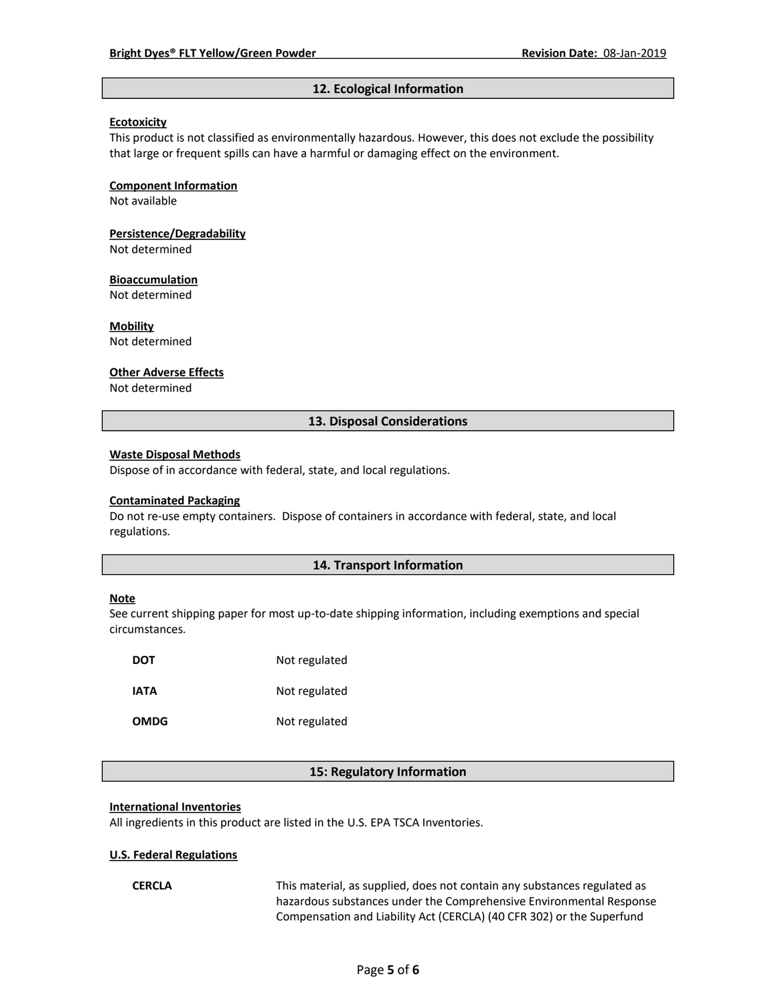# **12. Ecological Information**

### **Ecotoxicity**

This product is not classified as environmentally hazardous. However, this does not exclude the possibility that large or frequent spills can have a harmful or damaging effect on the environment.

#### **Component Information**

Not available

**Persistence/Degradability**

Not determined

#### **Bioaccumulation**

Not determined

**Mobility**

Not determined

#### **Other Adverse Effects**

Not determined

# **13. Disposal Considerations**

#### **Waste Disposal Methods**

Dispose of in accordance with federal, state, and local regulations.

#### **Contaminated Packaging**

Do not re-use empty containers.Dispose of containers in accordance with federal, state, and local regulations.

# **14. Transport Information**

#### **Note**

See current shipping paper for most up-to-date shipping information, including exemptions and special circumstances.

| <b>DOT</b>  | Not regulated |
|-------------|---------------|
| IATA        | Not regulated |
| <b>OMDG</b> | Not regulated |

## **15: Regulatory Information**

#### **International Inventories**

All ingredients in this product are listed in the U.S. EPA TSCA Inventories.

#### **U.S. Federal Regulations**

**CERCLA** This material, as supplied, does not contain any substances regulated as hazardous substances under the Comprehensive Environmental Response Compensation and Liability Act (CERCLA) (40 CFR 302) or the Superfund